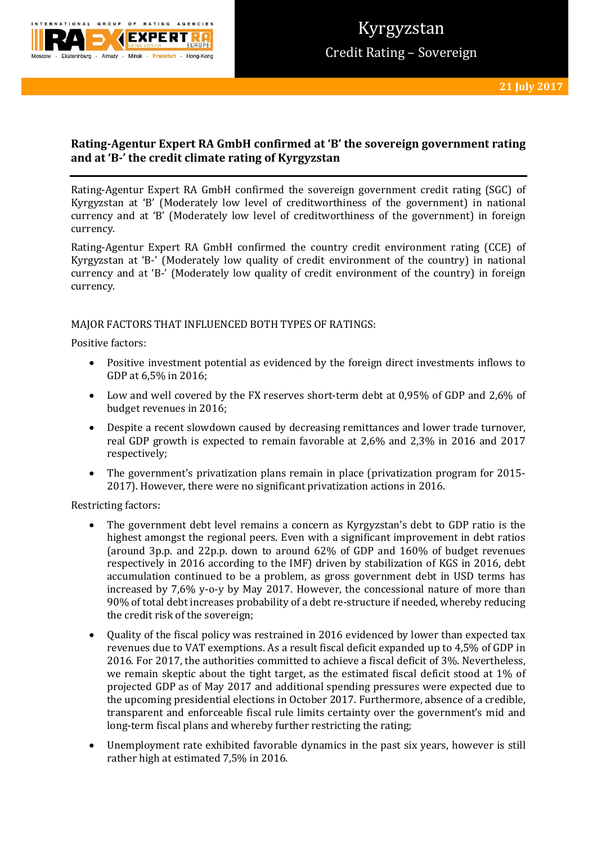

# **Rating-Agentur Expert RA GmbH confirmed at 'B' the sovereign government rating and at 'B-' the credit climate rating of Kyrgyzstan**

Rating-Agentur Expert RA GmbH confirmed the sovereign government credit rating (SGC) of Kyrgyzstan at 'B' (Moderately low level of creditworthiness of the government) in national currency and at 'B' (Moderately low level of creditworthiness of the government) in foreign currency.

Rating-Agentur Expert RA GmbH confirmed the country credit environment rating (CCE) of Kyrgyzstan at 'B-' (Moderately low quality of credit environment of the country) in national currency and at 'B-' (Moderately low quality of credit environment of the country) in foreign currency.

## MAJOR FACTORS THAT INFLUENCED BOTH TYPES OF RATINGS:

Positive factors:

- Positive investment potential as evidenced by the foreign direct investments inflows to GDP at 6,5% in 2016;
- Low and well covered by the FX reserves short-term debt at 0,95% of GDP and 2,6% of budget revenues in 2016;
- Despite a recent slowdown caused by decreasing remittances and lower trade turnover, real GDP growth is expected to remain favorable at 2,6% and 2,3% in 2016 and 2017 respectively;
- The government's privatization plans remain in place (privatization program for 2015- 2017). However, there were no significant privatization actions in 2016.

Restricting factors:

- The government debt level remains a concern as Kyrgyzstan's debt to GDP ratio is the highest amongst the regional peers. Even with a significant improvement in debt ratios (around 3p.p. and 22p.p. down to around 62% of GDP and 160% of budget revenues respectively in 2016 according to the IMF) driven by stabilization of KGS in 2016, debt accumulation continued to be a problem, as gross government debt in USD terms has increased by 7,6% y-o-y by May 2017. However, the concessional nature of more than 90% of total debt increases probability of a debt re-structure if needed, whereby reducing the credit risk of the sovereign;
- Quality of the fiscal policy was restrained in 2016 evidenced by lower than expected tax revenues due to VAT exemptions. As a result fiscal deficit expanded up to 4,5% of GDP in 2016. For 2017, the authorities committed to achieve a fiscal deficit of 3%. Nevertheless, we remain skeptic about the tight target, as the estimated fiscal deficit stood at 1% of projected GDP as of May 2017 and additional spending pressures were expected due to the upcoming presidential elections in October 2017. Furthermore, absence of a credible, transparent and enforceable fiscal rule limits certainty over the government's mid and long-term fiscal plans and whereby further restricting the rating;
- Unemployment rate exhibited favorable dynamics in the past six years, however is still rather high at estimated 7,5% in 2016.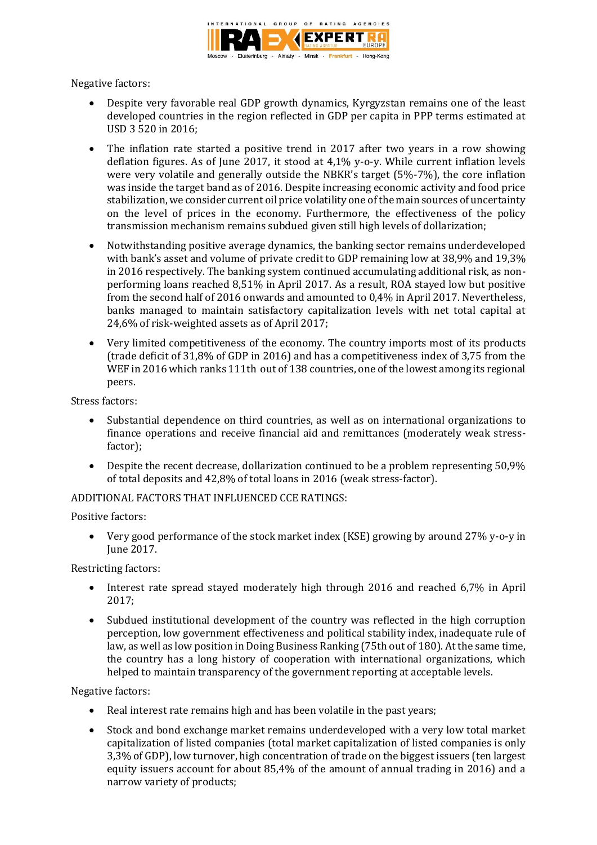

Negative factors:

- Despite very favorable real GDP growth dynamics, Kyrgyzstan remains one of the least developed countries in the region reflected in GDP per capita in PPP terms estimated at USD 3 520 in 2016;
- The inflation rate started a positive trend in 2017 after two years in a row showing deflation figures. As of June 2017, it stood at 4,1% y-o-y. While current inflation levels were very volatile and generally outside the NBKR's target (5%-7%), the core inflation was inside the target band as of 2016. Despite increasing economic activity and food price stabilization, we consider current oil price volatility one of the main sources of uncertainty on the level of prices in the economy. Furthermore, the effectiveness of the policy transmission mechanism remains subdued given still high levels of dollarization;
- Notwithstanding positive average dynamics, the banking sector remains underdeveloped with bank's asset and volume of private credit to GDP remaining low at 38,9% and 19,3% in 2016 respectively. The banking system continued accumulating additional risk, as nonperforming loans reached 8,51% in April 2017. As a result, ROA stayed low but positive from the second half of 2016 onwards and amounted to 0,4% in April 2017. Nevertheless, banks managed to maintain satisfactory capitalization levels with net total capital at 24,6% of risk-weighted assets as of April 2017;
- Very limited competitiveness of the economy. The country imports most of its products (trade deficit of 31,8% of GDP in 2016) and has a competitiveness index of 3,75 from the WEF in 2016 which ranks 111th out of 138 countries, one of the lowest among its regional peers.

Stress factors:

- Substantial dependence on third countries, as well as on international organizations to finance operations and receive financial aid and remittances (moderately weak stressfactor);
- Despite the recent decrease, dollarization continued to be a problem representing 50,9% of total deposits and 42,8% of total loans in 2016 (weak stress-factor).

## ADDITIONAL FACTORS THAT INFLUENCED CCE RATINGS:

Positive factors:

 Very good performance of the stock market index (KSE) growing by around 27% y-o-y in June 2017.

Restricting factors:

- Interest rate spread stayed moderately high through 2016 and reached 6,7% in April 2017;
- Subdued institutional development of the country was reflected in the high corruption perception, low government effectiveness and political stability index, inadequate rule of law, as well as low position in Doing Business Ranking (75th out of 180). At the same time, the country has a long history of cooperation with international organizations, which helped to maintain transparency of the government reporting at acceptable levels.

Negative factors:

- Real interest rate remains high and has been volatile in the past vears:
- Stock and bond exchange market remains underdeveloped with a very low total market capitalization of listed companies (total market capitalization of listed companies is only 3,3% of GDP), low turnover, high concentration of trade on the biggest issuers (ten largest equity issuers account for about 85,4% of the amount of annual trading in 2016) and a narrow variety of products;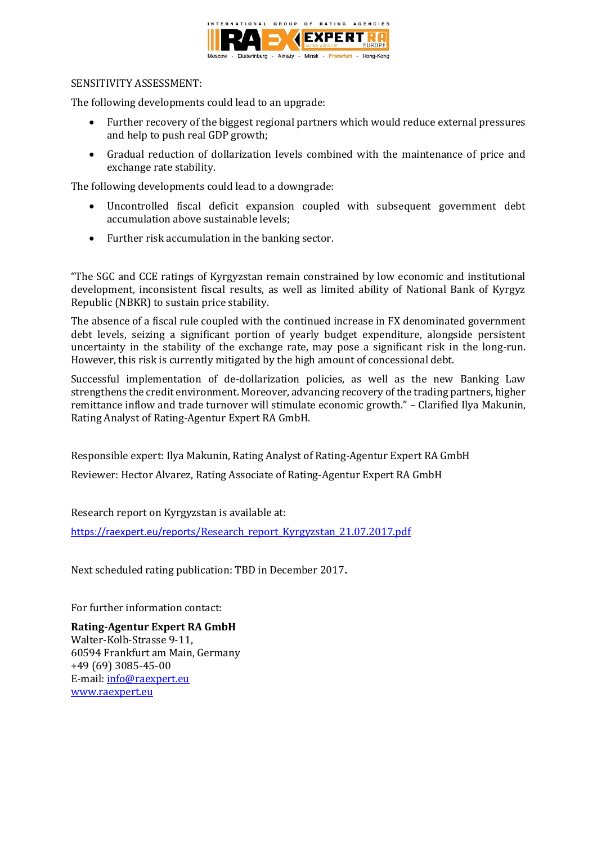

### SENSITIVITY ASSESSMENT:

The following developments could lead to an upgrade:

- Further recovery of the biggest regional partners which would reduce external pressures and help to push real GDP growth;
- Gradual reduction of dollarization levels combined with the maintenance of price and exchange rate stability.

The following developments could lead to a downgrade:

- Uncontrolled fiscal deficit expansion coupled with subsequent government debt accumulation above sustainable levels;
- Further risk accumulation in the banking sector.

"The SGC and CCE ratings of Kyrgyzstan remain constrained by low economic and institutional development, inconsistent fiscal results, as well as limited ability of National Bank of Kyrgyz Republic (NBKR) to sustain price stability.

The absence of a fiscal rule coupled with the continued increase in FX denominated government debt levels, seizing a significant portion of yearly budget expenditure, alongside persistent uncertainty in the stability of the exchange rate, may pose a significant risk in the long-run. However, this risk is currently mitigated by the high amount of concessional debt.

Successful implementation of de-dollarization policies, as well as the new Banking Law strengthens the credit environment. Moreover, advancing recovery of the trading partners, higher remittance inflow and trade turnover will stimulate economic growth." – Clarified Ilya Makunin, Rating Analyst of Rating-Agentur Expert RA GmbH.

Responsible expert: Ilya Makunin, Rating Analyst of Rating-Agentur Expert RA GmbH Reviewer: Hector Alvarez, Rating Associate of Rating-Agentur Expert RA GmbH

Research report on Kyrgyzstan is available at:

https://raexpert.eu/repor[ts/Research\\_report\\_Kyrgyzstan\\_21.07.2017.pdf](https://raexpert.eu/reports/Research_report_Kyrgyzstan_21.07.2017.pdf)

Next scheduled rating publication: TBD in December 2017**.** 

For further information contact:

**Rating-Agentur Expert RA GmbH** Walter-Kolb-Strasse 9-11, 60594 Frankfurt am Main, Germany +49 (69) 3085-45-00 E-mail[: info@raexpert.eu](mailto:info@raexpert.eu) [www.raexpert.eu](http://raexpert.eu/)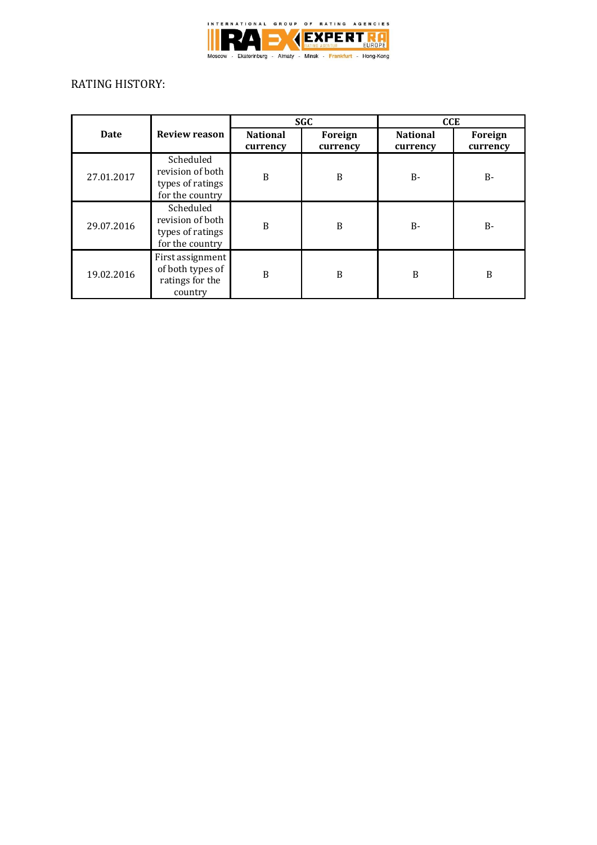

# RATING HISTORY:

|            | <b>Review reason</b>                                                 | <b>SGC</b>                  |                     | <b>CCE</b>                  |                     |
|------------|----------------------------------------------------------------------|-----------------------------|---------------------|-----------------------------|---------------------|
| Date       |                                                                      | <b>National</b><br>currency | Foreign<br>currency | <b>National</b><br>currency | Foreign<br>currency |
| 27.01.2017 | Scheduled<br>revision of both<br>types of ratings<br>for the country | B                           | B                   | <b>B-</b>                   | <b>B-</b>           |
| 29.07.2016 | Scheduled<br>revision of both<br>types of ratings<br>for the country | B                           | B                   | $B -$                       | $B -$               |
| 19.02.2016 | First assignment<br>of both types of<br>ratings for the<br>country   | B                           | B                   | B                           | B                   |